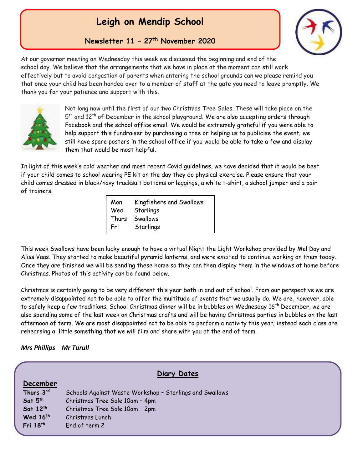## **Leigh on Mendip School**

**Newsletter 11 – 27th November 2020**

**th** At our governor meeting on Wednesday this week we discussed the beginning and end of the **2017** school day. We believe that the arrangements that we have in place at the moment can still work effectively but to avoid congestion of parents when entering the school grounds can we please remind you that once your child has been handed over to a member of staff at the gate you need to leave promptly. We thank you for your patience and support with this.



Not long now until the first of our two Christmas Tree Sales. These will take place on the 5<sup>th</sup> and 12<sup>th</sup> of December in the school playground. We are also accepting orders through Facebook and the school office email. We would be extremely grateful if you were able to help support this fundraiser by purchasing a tree or helping us to publicise the event; we still have spare posters in the school office if you would be able to take a few and display them that would be most helpful.

In light of this week's cold weather and most recent Covid guidelines, we have decided that it would be best if your child comes to school wearing PE kit on the day they do physical exercise. Please ensure that your child comes dressed in black/navy tracksuit bottoms or leggings, a white t-shirt, a school jumper and a pair of trainers.

| Mon   | Kingfishers and Swallows |
|-------|--------------------------|
| Wed   | Starlings                |
| Thurs | Swallows                 |
| Fri   | Starlings                |

This week Swallows have been lucky enough to have a virtual Night the Light Workshop provided by Mel Day and Aliss Vaas. They started to make beautiful pyramid lanterns, and were excited to continue working on them today. Once they are finished we will be sending these home so they can then display them in the windows at home before Christmas. Photos of this activity can be found below.

Christmas is certainly going to be very different this year both in and out of school. From our perspective we are extremely disappointed not to be able to offer the multitude of events that we usually do. We are, however, able to safely keep a few traditions. School Christmas dinner will be in bubbles on Wednesday 16<sup>th</sup> December, we are also spending some of the last week on Christmas crafts and will be having Christmas parties in bubbles on the last afternoon of term. We are most disappointed not to be able to perform a nativity this year; instead each class are rehearsing a little something that we will film and share with you at the end of term.

## *Mrs Phillips Mr Turull*

| Diary Dates         |                                                         |
|---------------------|---------------------------------------------------------|
| December            |                                                         |
| Thurs 3rd           | Schools Against Waste Workshop - Starlings and Swallows |
| Sat 5 <sup>th</sup> | Christmas Tree Sale 10am - 4pm                          |
| Sat 12th            | Christmas Tree Sale 10am - 2pm                          |
| Wed 16th            | Christmas Lunch                                         |
| Fri 18th            | End of term 2                                           |
|                     |                                                         |